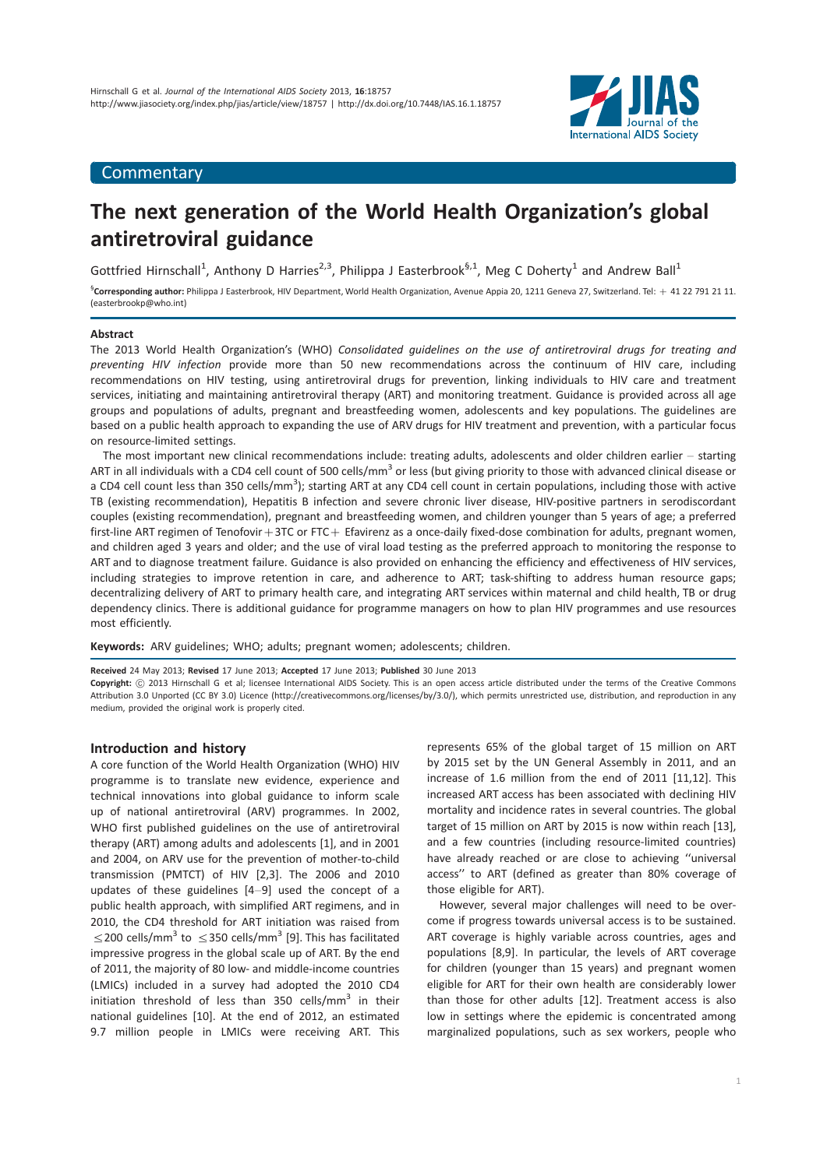

# **[Commentary](http://www.jiasociety.org/index.php/jias/article/view/18757)**

# The next generation of the World Health Organization's global antiretroviral guidance

Gottfried Hirnschall<sup>1</sup>, Anthony D Harries<sup>2,3</sup>, Philippa J Easterbrook<sup>§,1</sup>, Meg C Doherty<sup>1</sup> and Andrew Ball<sup>1</sup>

<sup>§</sup>Corresponding author: Philippa J Easterbrook, HIV Department, World Health Organization, Avenue Appia 20, 1211 Geneva 27, Switzerland. Tel: + 41 22 791 21 11. (easterbrookp@who.int)

### Abstract

The 2013 World Health Organization's (WHO) Consolidated guidelines on the use of antiretroviral drugs for treating and preventing HIV infection provide more than 50 new recommendations across the continuum of HIV care, including recommendations on HIV testing, using antiretroviral drugs for prevention, linking individuals to HIV care and treatment services, initiating and maintaining antiretroviral therapy (ART) and monitoring treatment. Guidance is provided across all age groups and populations of adults, pregnant and breastfeeding women, adolescents and key populations. The guidelines are based on a public health approach to expanding the use of ARV drugs for HIV treatment and prevention, with a particular focus on resource-limited settings.

The most important new clinical recommendations include: treating adults, adolescents and older children earlier - starting ART in all individuals with a CD4 cell count of 500 cells/mm<sup>3</sup> or less (but giving priority to those with advanced clinical disease or a CD4 cell count less than 350 cells/mm<sup>3</sup>); starting ART at any CD4 cell count in certain populations, including those with active TB (existing recommendation), Hepatitis B infection and severe chronic liver disease, HIV-positive partners in serodiscordant couples (existing recommendation), pregnant and breastfeeding women, and children younger than 5 years of age; a preferred first-line ART regimen of Tenofovir + 3TC or FTC + Efavirenz as a once-daily fixed-dose combination for adults, pregnant women, and children aged 3 years and older; and the use of viral load testing as the preferred approach to monitoring the response to ART and to diagnose treatment failure. Guidance is also provided on enhancing the efficiency and effectiveness of HIV services, including strategies to improve retention in care, and adherence to ART; task-shifting to address human resource gaps; decentralizing delivery of ART to primary health care, and integrating ART services within maternal and child health, TB or drug dependency clinics. There is additional guidance for programme managers on how to plan HIV programmes and use resources most efficiently.

Keywords: ARV guidelines; WHO; adults; pregnant women; adolescents; children.

Received 24 May 2013; Revised 17 June 2013; Accepted 17 June 2013; Published 30 June 2013

Copyright:  $©$  2013 Hirnschall G et al; licensee International AIDS Society. This is an open access article distributed under the terms of the Creative Commons Attribution 3.0 Unported (CC BY 3.0) Licence (http://creativecommons.org/licenses/by/3.0/), which permits unrestricted use, distribution, and reproduction in any medium, provided the original work is properly cited.

## Introduction and history

A core function of the World Health Organization (WHO) HIV programme is to translate new evidence, experience and technical innovations into global guidance to inform scale up of national antiretroviral (ARV) programmes. In 2002, WHO first published guidelines on the use of antiretroviral therapy (ART) among adults and adolescents [1], and in 2001 and 2004, on ARV use for the prevention of mother-to-child transmission (PMTCT) of HIV [2,3]. The 2006 and 2010 updates of these guidelines  $[4-9]$  used the concept of a public health approach, with simplified ART regimens, and in 2010, the CD4 threshold for ART initiation was raised from  $\leq$ 200 cells/mm<sup>3</sup> to  $\leq$ 350 cells/mm<sup>3</sup> [9]. This has facilitated impressive progress in the global scale up of ART. By the end of 2011, the majority of 80 low- and middle-income countries (LMICs) included in a survey had adopted the 2010 CD4 initiation threshold of less than 350 cells/ $mm<sup>3</sup>$  in their national guidelines [10]. At the end of 2012, an estimated 9.7 million people in LMICs were receiving ART. This

represents 65% of the global target of 15 million on ART by 2015 set by the UN General Assembly in 2011, and an increase of 1.6 million from the end of 2011 [11,12]. This increased ART access has been associated with declining HIV mortality and incidence rates in several countries. The global target of 15 million on ART by 2015 is now within reach [13], and a few countries (including resource-limited countries) have already reached or are close to achieving ''universal access'' to ART (defined as greater than 80% coverage of those eligible for ART).

However, several major challenges will need to be overcome if progress towards universal access is to be sustained. ART coverage is highly variable across countries, ages and populations [8,9]. In particular, the levels of ART coverage for children (younger than 15 years) and pregnant women eligible for ART for their own health are considerably lower than those for other adults [12]. Treatment access is also low in settings where the epidemic is concentrated among marginalized populations, such as sex workers, people who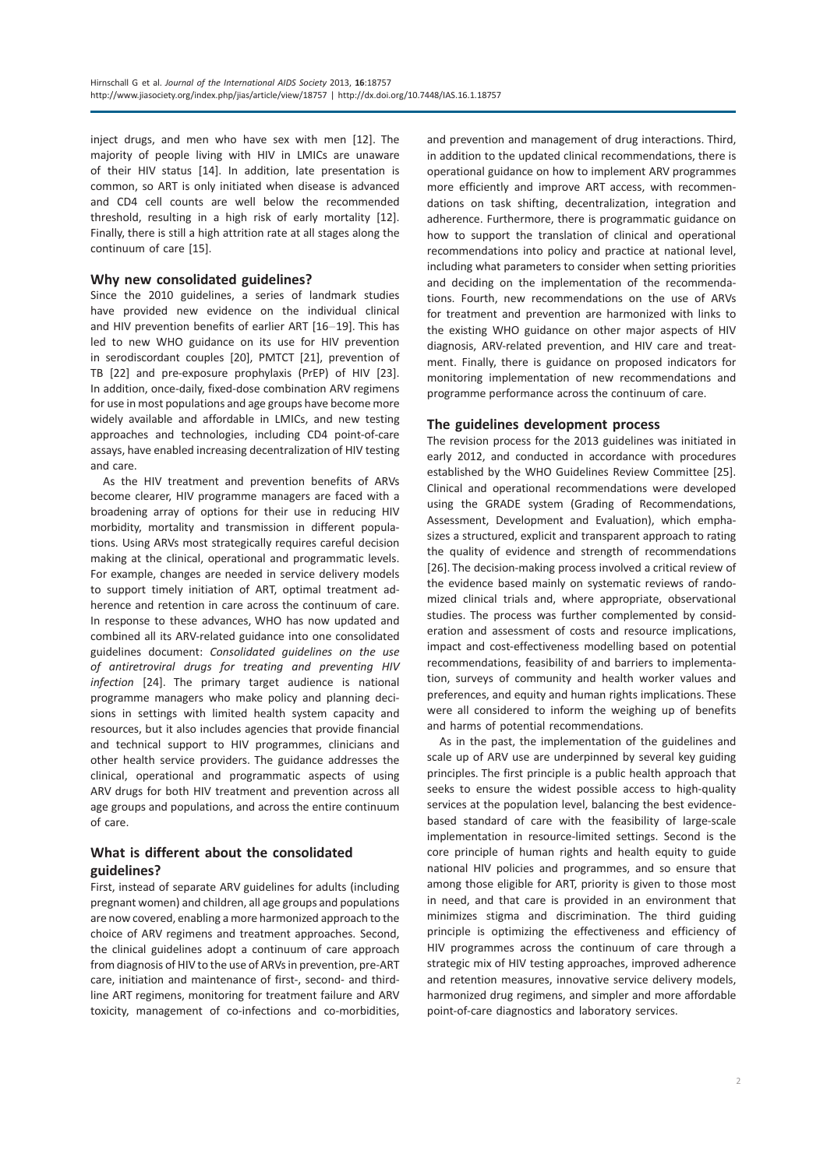inject drugs, and men who have sex with men [12]. The majority of people living with HIV in LMICs are unaware [of](http://www.jiasociety.org/index.php/jias/article/view/18757) [their](http://www.jiasociety.org/index.php/jias/article/view/18757) [HIV](http://www.jiasociety.org/index.php/jias/article/view/18757) [status](http://www.jiasociety.org/index.php/jias/article/view/18757) [\[14\].](http://www.jiasociety.org/index.php/jias/article/view/18757) [In](http://www.jiasociety.org/index.php/jias/article/view/18757) [addition,](http://www.jiasociety.org/index.php/jias/article/view/18757) [late](http://www.jiasociety.org/index.php/jias/article/view/18757) [p](http://www.jiasociety.org/index.php/jias/article/view/18757)resentation is common, so ART is only initiated when disease is advanced and CD4 cell counts are well below the recommended threshold, resulting in a high risk of early mortality [12]. Finally, there is still a high attrition rate at all stages along the continuum of care [15].

## Why new consolidated guidelines?

Since the 2010 guidelines, a series of landmark studies have provided new evidence on the individual clinical and HIV prevention benefits of earlier ART  $[16-19]$ . This has led to new WHO guidance on its use for HIV prevention in serodiscordant couples [20], PMTCT [21], prevention of TB [22] and pre-exposure prophylaxis (PrEP) of HIV [23]. In addition, once-daily, fixed-dose combination ARV regimens for use in most populations and age groups have become more widely available and affordable in LMICs, and new testing approaches and technologies, including CD4 point-of-care assays, have enabled increasing decentralization of HIV testing and care.

As the HIV treatment and prevention benefits of ARVs become clearer, HIV programme managers are faced with a broadening array of options for their use in reducing HIV morbidity, mortality and transmission in different populations. Using ARVs most strategically requires careful decision making at the clinical, operational and programmatic levels. For example, changes are needed in service delivery models to support timely initiation of ART, optimal treatment adherence and retention in care across the continuum of care. In response to these advances, WHO has now updated and combined all its ARV-related guidance into one consolidated guidelines document: Consolidated guidelines on the use of antiretroviral drugs for treating and preventing HIV infection [24]. The primary target audience is national programme managers who make policy and planning decisions in settings with limited health system capacity and resources, but it also includes agencies that provide financial and technical support to HIV programmes, clinicians and other health service providers. The guidance addresses the clinical, operational and programmatic aspects of using ARV drugs for both HIV treatment and prevention across all age groups and populations, and across the entire continuum of care.

# What is different about the consolidated guidelines?

First, instead of separate ARV guidelines for adults (including pregnant women) and children, all age groups and populations are now covered, enabling a more harmonized approach to the choice of ARV regimens and treatment approaches. Second, the clinical guidelines adopt a continuum of care approach from diagnosis of HIV to the use of ARVs in prevention, pre-ART care, initiation and maintenance of first-, second- and thirdline ART regimens, monitoring for treatment failure and ARV toxicity, management of co-infections and co-morbidities, and prevention and management of drug interactions. Third, in addition to the updated clinical recommendations, there is [operational](http://dx.doi.org/10.7448/IAS.16.1.18757) [gui](http://dx.doi.org/10.7448/IAS.16.1.18757)dance on how to implement ARV programmes more efficiently and improve ART access, with recommendations on task shifting, decentralization, integration and adherence. Furthermore, there is programmatic guidance on how to support the translation of clinical and operational recommendations into policy and practice at national level, including what parameters to consider when setting priorities and deciding on the implementation of the recommendations. Fourth, new recommendations on the use of ARVs for treatment and prevention are harmonized with links to the existing WHO guidance on other major aspects of HIV diagnosis, ARV-related prevention, and HIV care and treatment. Finally, there is guidance on proposed indicators for monitoring implementation of new recommendations and programme performance across the continuum of care.

## The guidelines development process

The revision process for the 2013 guidelines was initiated in early 2012, and conducted in accordance with procedures established by the WHO Guidelines Review Committee [25]. Clinical and operational recommendations were developed using the GRADE system (Grading of Recommendations, Assessment, Development and Evaluation), which emphasizes a structured, explicit and transparent approach to rating the quality of evidence and strength of recommendations [26]. The decision-making process involved a critical review of the evidence based mainly on systematic reviews of randomized clinical trials and, where appropriate, observational studies. The process was further complemented by consideration and assessment of costs and resource implications, impact and cost-effectiveness modelling based on potential recommendations, feasibility of and barriers to implementation, surveys of community and health worker values and preferences, and equity and human rights implications. These were all considered to inform the weighing up of benefits and harms of potential recommendations.

As in the past, the implementation of the guidelines and scale up of ARV use are underpinned by several key guiding principles. The first principle is a public health approach that seeks to ensure the widest possible access to high-quality services at the population level, balancing the best evidencebased standard of care with the feasibility of large-scale implementation in resource-limited settings. Second is the core principle of human rights and health equity to guide national HIV policies and programmes, and so ensure that among those eligible for ART, priority is given to those most in need, and that care is provided in an environment that minimizes stigma and discrimination. The third guiding principle is optimizing the effectiveness and efficiency of HIV programmes across the continuum of care through a strategic mix of HIV testing approaches, improved adherence and retention measures, innovative service delivery models, harmonized drug regimens, and simpler and more affordable point-of-care diagnostics and laboratory services.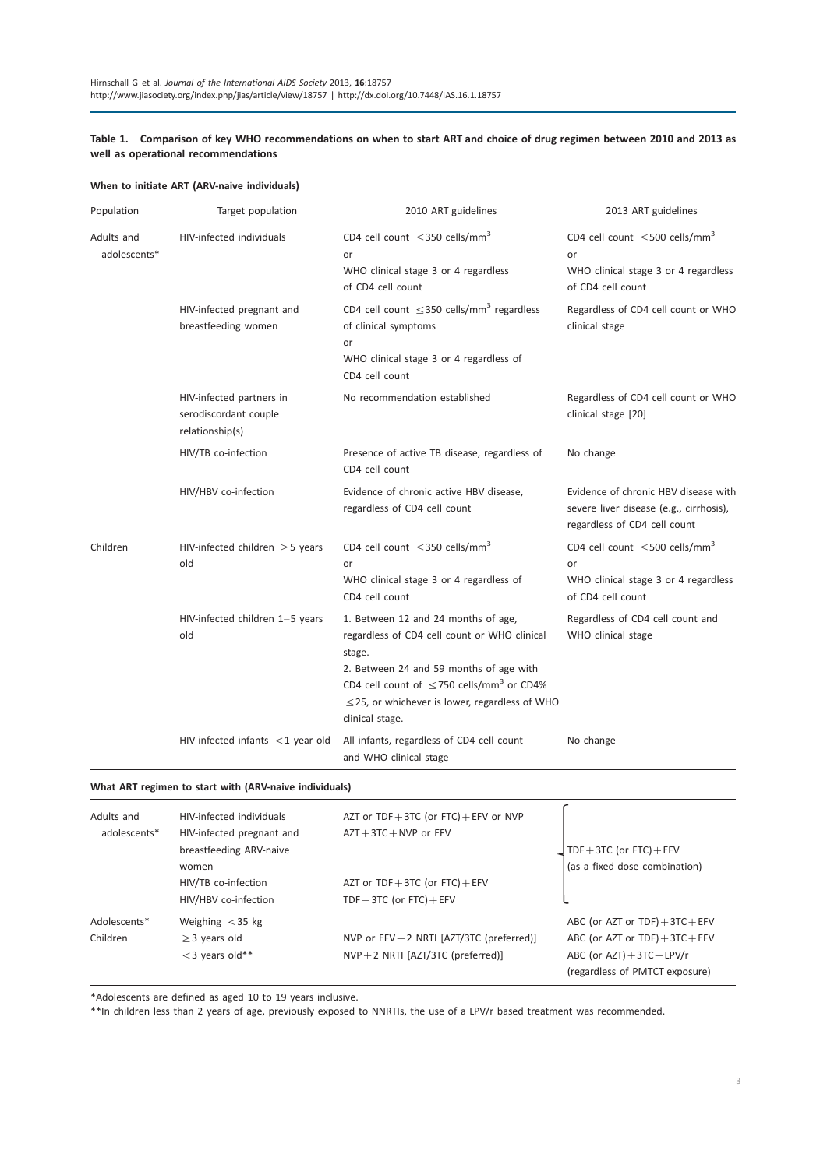### Table 1. Comparison of key WHO recommendations on when to start ART and choice of drug regimen between 2010 and 2013 as well as operational recommendations

| When to initiate ART (ARV-naive individuals) |                                                                      |                                                                                                                                                                                                                                                                                  |                                                                                                                    |  |
|----------------------------------------------|----------------------------------------------------------------------|----------------------------------------------------------------------------------------------------------------------------------------------------------------------------------------------------------------------------------------------------------------------------------|--------------------------------------------------------------------------------------------------------------------|--|
| Population                                   | Target population                                                    | 2010 ART guidelines                                                                                                                                                                                                                                                              | 2013 ART guidelines                                                                                                |  |
| Adults and<br>adolescents*                   | HIV-infected individuals                                             | CD4 cell count $\leq$ 350 cells/mm <sup>3</sup><br>or<br>WHO clinical stage 3 or 4 regardless<br>of CD4 cell count                                                                                                                                                               | CD4 cell count $\leq$ 500 cells/mm <sup>3</sup><br>or<br>WHO clinical stage 3 or 4 regardless<br>of CD4 cell count |  |
|                                              | HIV-infected pregnant and<br>breastfeeding women                     | CD4 cell count $\leq$ 350 cells/mm <sup>3</sup> regardless<br>of clinical symptoms<br>or<br>WHO clinical stage 3 or 4 regardless of<br>CD4 cell count                                                                                                                            | Regardless of CD4 cell count or WHO<br>clinical stage                                                              |  |
|                                              | HIV-infected partners in<br>serodiscordant couple<br>relationship(s) | No recommendation established                                                                                                                                                                                                                                                    | Regardless of CD4 cell count or WHO<br>clinical stage [20]                                                         |  |
|                                              | HIV/TB co-infection                                                  | Presence of active TB disease, regardless of<br>CD4 cell count                                                                                                                                                                                                                   | No change                                                                                                          |  |
|                                              | HIV/HBV co-infection                                                 | Evidence of chronic active HBV disease,<br>regardless of CD4 cell count                                                                                                                                                                                                          | Evidence of chronic HBV disease with<br>severe liver disease (e.g., cirrhosis),<br>regardless of CD4 cell count    |  |
| Children                                     | HIV-infected children $\geq$ 5 years<br>old                          | CD4 cell count $\leq$ 350 cells/mm <sup>3</sup><br>or<br>WHO clinical stage 3 or 4 regardless of<br>CD4 cell count                                                                                                                                                               | CD4 cell count $\leq$ 500 cells/mm <sup>3</sup><br>or<br>WHO clinical stage 3 or 4 regardless<br>of CD4 cell count |  |
|                                              | $HIV$ -infected children $1-5$ years<br>old                          | 1. Between 12 and 24 months of age,<br>regardless of CD4 cell count or WHO clinical<br>stage.<br>2. Between 24 and 59 months of age with<br>CD4 cell count of $\leq$ 750 cells/mm <sup>3</sup> or CD4%<br>$\leq$ 25, or whichever is lower, regardless of WHO<br>clinical stage. | Regardless of CD4 cell count and<br>WHO clinical stage                                                             |  |
|                                              | $HIV$ -infected infants $<$ 1 year old                               | All infants, regardless of CD4 cell count<br>and WHO clinical stage                                                                                                                                                                                                              | No change                                                                                                          |  |

## What ART regimen to start with (ARV-naive individuals)

| Adults and<br>adolescents* | HIV-infected individuals<br>HIV-infected pregnant and | AZT or $TDF + 3TC$ (or $FTC$ ) + EFV or NVP<br>$AZT + 3TC + NVP$ or EFV |                                                                 |
|----------------------------|-------------------------------------------------------|-------------------------------------------------------------------------|-----------------------------------------------------------------|
|                            | breastfeeding ARV-naive                               |                                                                         |                                                                 |
|                            | women                                                 |                                                                         | TDF + 3TC (or FTC) + EFV<br>  (as a fixed-dose combination)     |
|                            | HIV/TB co-infection                                   | AZT or $TDF + 3TC$ (or $FTC$ ) + EFV                                    |                                                                 |
|                            | HIV/HBV co-infection                                  | TDF $+3TC$ (or FTC) $+EFV$                                              |                                                                 |
| Adolescents*               | Weighing $<$ 35 kg                                    |                                                                         | ABC (or AZT or TDF) $+3TC + EFV$                                |
| Children                   | $\geq$ 3 years old                                    | NVP or $EFV + 2$ NRTI [AZT/3TC (preferred)]                             | ABC (or AZT or TDF) $+3TC + EFV$                                |
|                            | $<$ 3 years old**                                     | $NVP + 2$ NRTI [AZT/3TC (preferred)]                                    | ABC (or $AZT$ ) + 3TC + LPV/r<br>(regardless of PMTCT exposure) |

\*Adolescents are defined as aged 10 to 19 years inclusive.

\*\*In children less than 2 years of age, previously exposed to NNRTIs, the use of a LPV/r based treatment was recommended.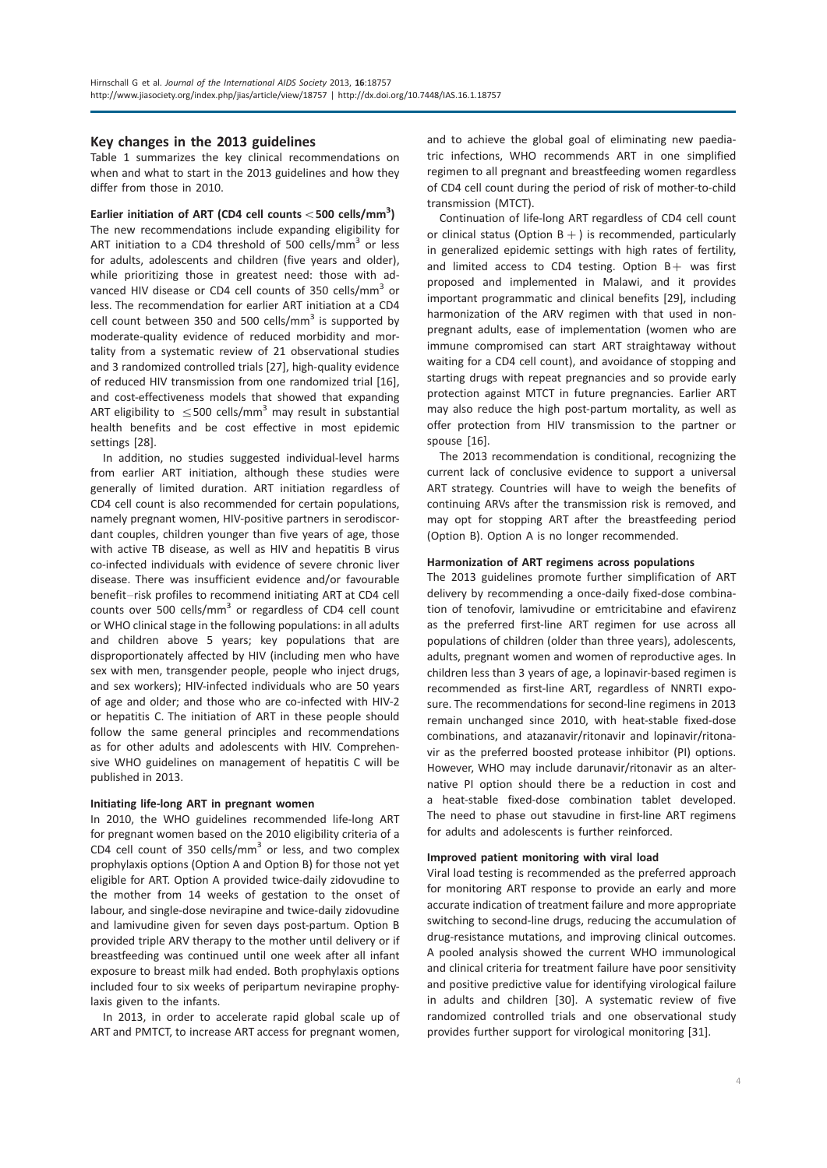# Key changes in the 2013 guidelines

[Table 1 summarizes the key clinical recomm](http://www.jiasociety.org/index.php/jias/article/view/18757)endations on when and what to start in the 2013 guidelines and how they differ from those in 2010.

Earlier initiation of ART (CD4 cell counts  $<$  500 cells/mm<sup>3</sup>) The new recommendations include expanding eligibility for ART initiation to a CD4 threshold of 500 cells/ $mm<sup>3</sup>$  or less for adults, adolescents and children (five years and older), while prioritizing those in greatest need: those with advanced HIV disease or CD4 cell counts of 350 cells/ $mm<sup>3</sup>$  or less. The recommendation for earlier ART initiation at a CD4 cell count between 350 and 500 cells/ $mm<sup>3</sup>$  is supported by moderate-quality evidence of reduced morbidity and mortality from a systematic review of 21 observational studies and 3 randomized controlled trials [27], high-quality evidence of reduced HIV transmission from one randomized trial [16], and cost-effectiveness models that showed that expanding ART eligibility to  $\leq$  500 cells/mm<sup>3</sup> may result in substantial health benefits and be cost effective in most epidemic settings [28].

In addition, no studies suggested individual-level harms from earlier ART initiation, although these studies were generally of limited duration. ART initiation regardless of CD4 cell count is also recommended for certain populations, namely pregnant women, HIV-positive partners in serodiscordant couples, children younger than five years of age, those with active TB disease, as well as HIV and hepatitis B virus co-infected individuals with evidence of severe chronic liver disease. There was insufficient evidence and/or favourable benefit-risk profiles to recommend initiating ART at CD4 cell counts over 500 cells/mm $3$  or regardless of CD4 cell count or WHO clinical stage in the following populations: in all adults and children above 5 years; key populations that are disproportionately affected by HIV (including men who have sex with men, transgender people, people who inject drugs, and sex workers); HIV-infected individuals who are 50 years of age and older; and those who are co-infected with HIV-2 or hepatitis C. The initiation of ART in these people should follow the same general principles and recommendations as for other adults and adolescents with HIV. Comprehensive WHO guidelines on management of hepatitis C will be published in 2013.

#### Initiating life-long ART in pregnant women

In 2010, the WHO guidelines recommended life-long ART for pregnant women based on the 2010 eligibility criteria of a CD4 cell count of 350 cells/ $mm<sup>3</sup>$  or less, and two complex prophylaxis options (Option A and Option B) for those not yet eligible for ART. Option A provided twice-daily zidovudine to the mother from 14 weeks of gestation to the onset of labour, and single-dose nevirapine and twice-daily zidovudine and lamivudine given for seven days post-partum. Option B provided triple ARV therapy to the mother until delivery or if breastfeeding was continued until one week after all infant exposure to breast milk had ended. Both prophylaxis options included four to six weeks of peripartum nevirapine prophylaxis given to the infants.

In 2013, in order to accelerate rapid global scale up of ART and PMTCT, to increase ART access for pregnant women,

and to achieve the global goal of eliminating new paediatric infections, WHO recommends ART in one simplified [regimen](http://dx.doi.org/10.7448/IAS.16.1.18757) [to](http://dx.doi.org/10.7448/IAS.16.1.18757) [all](http://dx.doi.org/10.7448/IAS.16.1.18757) [p](http://dx.doi.org/10.7448/IAS.16.1.18757)regnant and breastfeeding women regardless of CD4 cell count during the period of risk of mother-to-child transmission (MTCT).

Continuation of life-long ART regardless of CD4 cell count or clinical status (Option  $B +$ ) is recommended, particularly in generalized epidemic settings with high rates of fertility, and limited access to CD4 testing. Option  $B+$  was first proposed and implemented in Malawi, and it provides important programmatic and clinical benefits [29], including harmonization of the ARV regimen with that used in nonpregnant adults, ease of implementation (women who are immune compromised can start ART straightaway without waiting for a CD4 cell count), and avoidance of stopping and starting drugs with repeat pregnancies and so provide early protection against MTCT in future pregnancies. Earlier ART may also reduce the high post-partum mortality, as well as offer protection from HIV transmission to the partner or spouse [16].

The 2013 recommendation is conditional, recognizing the current lack of conclusive evidence to support a universal ART strategy. Countries will have to weigh the benefits of continuing ARVs after the transmission risk is removed, and may opt for stopping ART after the breastfeeding period (Option B). Option A is no longer recommended.

#### Harmonization of ART regimens across populations

The 2013 guidelines promote further simplification of ART delivery by recommending a once-daily fixed-dose combination of tenofovir, lamivudine or emtricitabine and efavirenz as the preferred first-line ART regimen for use across all populations of children (older than three years), adolescents, adults, pregnant women and women of reproductive ages. In children less than 3 years of age, a lopinavir-based regimen is recommended as first-line ART, regardless of NNRTI exposure. The recommendations for second-line regimens in 2013 remain unchanged since 2010, with heat-stable fixed-dose combinations, and atazanavir/ritonavir and lopinavir/ritonavir as the preferred boosted protease inhibitor (PI) options. However, WHO may include darunavir/ritonavir as an alternative PI option should there be a reduction in cost and a heat-stable fixed-dose combination tablet developed. The need to phase out stavudine in first-line ART regimens for adults and adolescents is further reinforced.

### Improved patient monitoring with viral load

Viral load testing is recommended as the preferred approach for monitoring ART response to provide an early and more accurate indication of treatment failure and more appropriate switching to second-line drugs, reducing the accumulation of drug-resistance mutations, and improving clinical outcomes. A pooled analysis showed the current WHO immunological and clinical criteria for treatment failure have poor sensitivity and positive predictive value for identifying virological failure in adults and children [30]. A systematic review of five randomized controlled trials and one observational study provides further support for virological monitoring [31].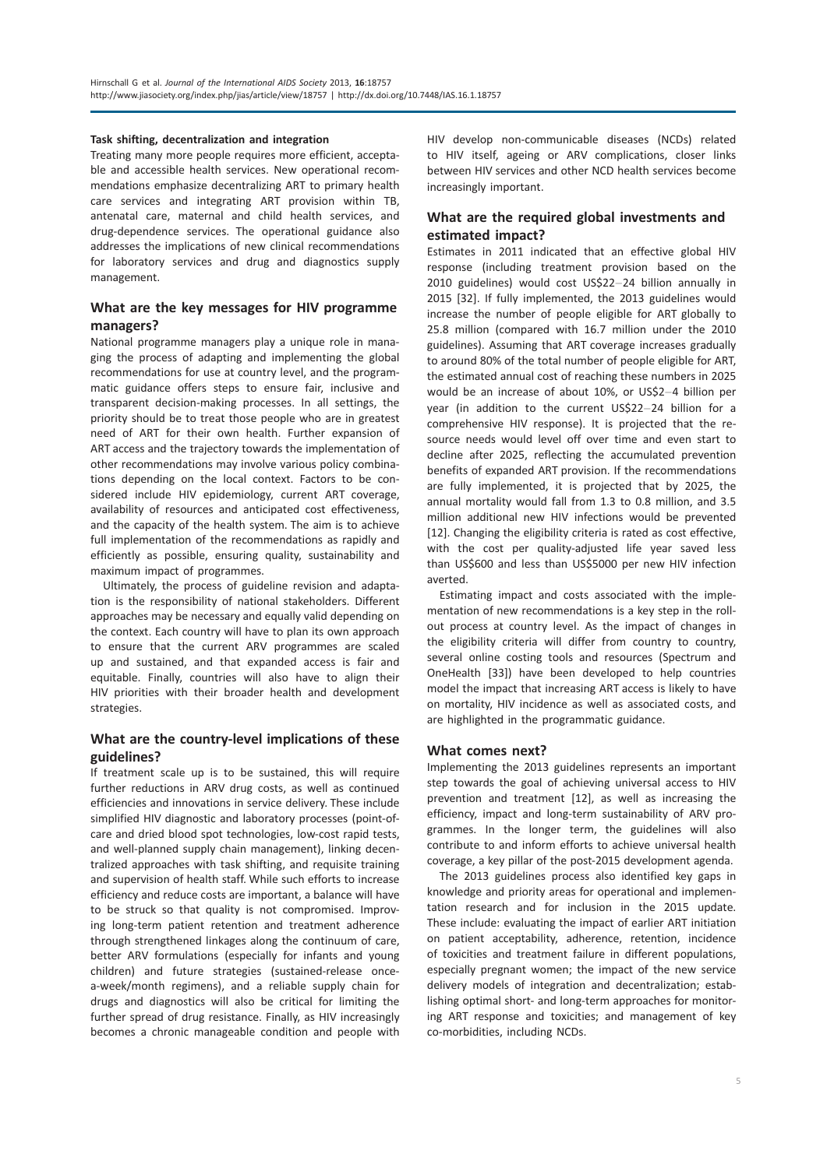### Task shifting, decentralization and integration

Treating many more people requires more efficient, accepta[ble](http://www.jiasociety.org/index.php/jias/article/view/18757) [and](http://www.jiasociety.org/index.php/jias/article/view/18757) [accessible](http://www.jiasociety.org/index.php/jias/article/view/18757) [health](http://www.jiasociety.org/index.php/jias/article/view/18757) [services.](http://www.jiasociety.org/index.php/jias/article/view/18757) [New](http://www.jiasociety.org/index.php/jias/article/view/18757) [opera](http://www.jiasociety.org/index.php/jias/article/view/18757)tional recommendations emphasize decentralizing ART to primary health care services and integrating ART provision within TB, antenatal care, maternal and child health services, and drug-dependence services. The operational guidance also addresses the implications of new clinical recommendations for laboratory services and drug and diagnostics supply management.

# What are the key messages for HIV programme managers?

National programme managers play a unique role in managing the process of adapting and implementing the global recommendations for use at country level, and the programmatic guidance offers steps to ensure fair, inclusive and transparent decision-making processes. In all settings, the priority should be to treat those people who are in greatest need of ART for their own health. Further expansion of ART access and the trajectory towards the implementation of other recommendations may involve various policy combinations depending on the local context. Factors to be considered include HIV epidemiology, current ART coverage, availability of resources and anticipated cost effectiveness, and the capacity of the health system. The aim is to achieve full implementation of the recommendations as rapidly and efficiently as possible, ensuring quality, sustainability and maximum impact of programmes.

Ultimately, the process of guideline revision and adaptation is the responsibility of national stakeholders. Different approaches may be necessary and equally valid depending on the context. Each country will have to plan its own approach to ensure that the current ARV programmes are scaled up and sustained, and that expanded access is fair and equitable. Finally, countries will also have to align their HIV priorities with their broader health and development strategies.

# What are the country-level implications of these guidelines?

If treatment scale up is to be sustained, this will require further reductions in ARV drug costs, as well as continued efficiencies and innovations in service delivery. These include simplified HIV diagnostic and laboratory processes (point-ofcare and dried blood spot technologies, low-cost rapid tests, and well-planned supply chain management), linking decentralized approaches with task shifting, and requisite training and supervision of health staff. While such efforts to increase efficiency and reduce costs are important, a balance will have to be struck so that quality is not compromised. Improving long-term patient retention and treatment adherence through strengthened linkages along the continuum of care, better ARV formulations (especially for infants and young children) and future strategies (sustained-release oncea-week/month regimens), and a reliable supply chain for drugs and diagnostics will also be critical for limiting the further spread of drug resistance. Finally, as HIV increasingly becomes a chronic manageable condition and people with HIV develop non-communicable diseases (NCDs) related to HIV itself, ageing or ARV complications, closer links [between](http://dx.doi.org/10.7448/IAS.16.1.18757) [HIV](http://dx.doi.org/10.7448/IAS.16.1.18757) [se](http://dx.doi.org/10.7448/IAS.16.1.18757)rvices and other NCD health services become increasingly important.

# What are the required global investments and estimated impact?

Estimates in 2011 indicated that an effective global HIV response (including treatment provision based on the 2010 guidelines) would cost US\$22-24 billion annually in 2015 [32]. If fully implemented, the 2013 guidelines would increase the number of people eligible for ART globally to 25.8 million (compared with 16.7 million under the 2010 guidelines). Assuming that ART coverage increases gradually to around 80% of the total number of people eligible for ART, the estimated annual cost of reaching these numbers in 2025 would be an increase of about 10%, or US\$2-4 billion per year (in addition to the current US\$22-24 billion for a comprehensive HIV response). It is projected that the resource needs would level off over time and even start to decline after 2025, reflecting the accumulated prevention benefits of expanded ART provision. If the recommendations are fully implemented, it is projected that by 2025, the annual mortality would fall from 1.3 to 0.8 million, and 3.5 million additional new HIV infections would be prevented [12]. Changing the eligibility criteria is rated as cost effective, with the cost per quality-adjusted life year saved less than US\$600 and less than US\$5000 per new HIV infection averted.

Estimating impact and costs associated with the implementation of new recommendations is a key step in the rollout process at country level. As the impact of changes in the eligibility criteria will differ from country to country, several online costing tools and resources (Spectrum and OneHealth [33]) have been developed to help countries model the impact that increasing ART access is likely to have on mortality, HIV incidence as well as associated costs, and are highlighted in the programmatic guidance.

### What comes next?

Implementing the 2013 guidelines represents an important step towards the goal of achieving universal access to HIV prevention and treatment [12], as well as increasing the efficiency, impact and long-term sustainability of ARV programmes. In the longer term, the guidelines will also contribute to and inform efforts to achieve universal health coverage, a key pillar of the post-2015 development agenda.

The 2013 guidelines process also identified key gaps in knowledge and priority areas for operational and implementation research and for inclusion in the 2015 update. These include: evaluating the impact of earlier ART initiation on patient acceptability, adherence, retention, incidence of toxicities and treatment failure in different populations, especially pregnant women; the impact of the new service delivery models of integration and decentralization; establishing optimal short- and long-term approaches for monitoring ART response and toxicities; and management of key co-morbidities, including NCDs.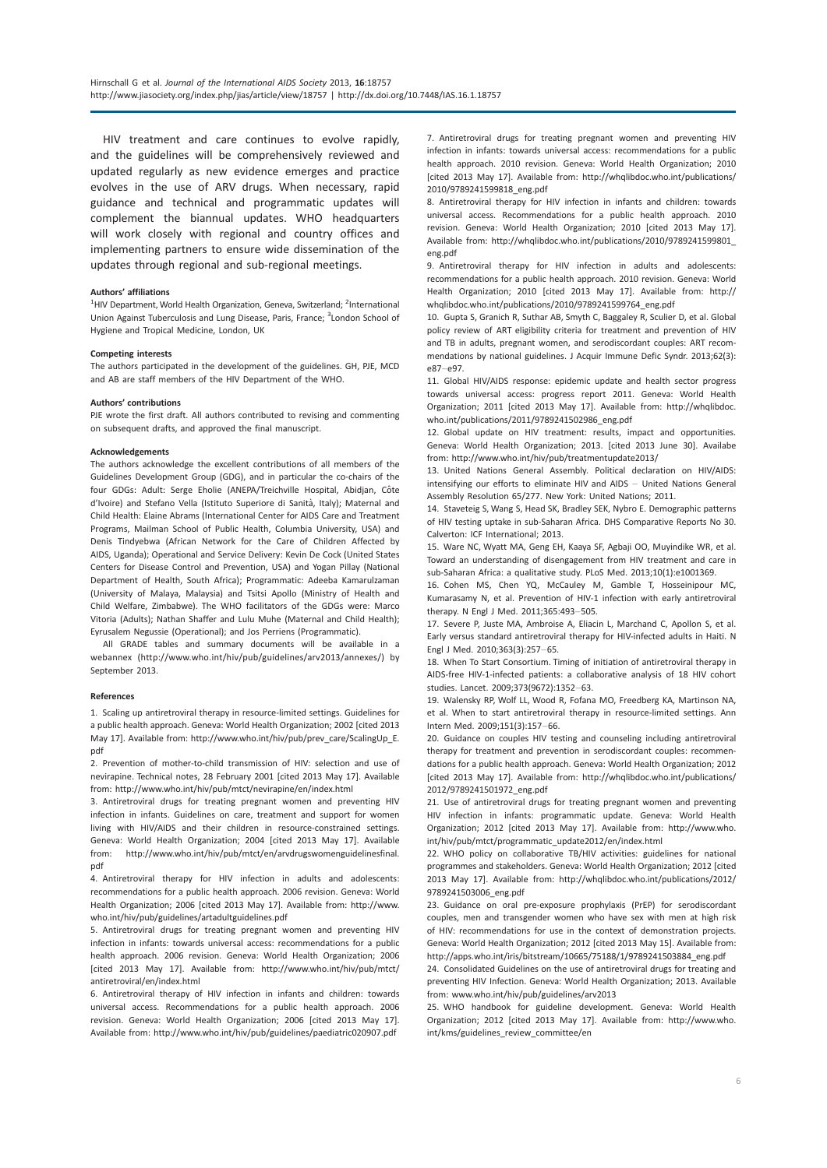HIV treatment and care continues to evolve rapidly, and the guidelines will be comprehensively reviewed and [updated](http://www.jiasociety.org/index.php/jias/article/view/18757) [regularly](http://www.jiasociety.org/index.php/jias/article/view/18757) [as](http://www.jiasociety.org/index.php/jias/article/view/18757) [new](http://www.jiasociety.org/index.php/jias/article/view/18757) [evidence](http://www.jiasociety.org/index.php/jias/article/view/18757) [emerges](http://www.jiasociety.org/index.php/jias/article/view/18757) and practice evolves in the use of ARV drugs. When necessary, rapid guidance and technical and programmatic updates will complement the biannual updates. WHO headquarters will work closely with regional and country offices and implementing partners to ensure wide dissemination of the updates through regional and sub-regional meetings.

#### Authors' affiliations

<sup>1</sup>HIV Department, World Health Organization, Geneva, Switzerland; <sup>2</sup>International Union Against Tuberculosis and Lung Disease, Paris, France; <sup>3</sup>London School of Hygiene and Tropical Medicine, London, UK

#### Competing interests

The authors participated in the development of the guidelines. GH, PJE, MCD and AB are staff members of the HIV Department of the WHO.

#### Authors' contributions

PJE wrote the first draft. All authors contributed to revising and commenting on subsequent drafts, and approved the final manuscript.

#### Acknowledgements

The authors acknowledge the excellent contributions of all members of the Guidelines Development Group (GDG), and in particular the co-chairs of the four GDGs: Adult: Serge Eholie (ANEPA/Treichville Hospital, Abidjan, Côte d'Ivoire) and Stefano Vella (Istituto Superiore di Sanità, Italy); Maternal and Child Health: Elaine Abrams (International Center for AIDS Care and Treatment Programs, Mailman School of Public Health, Columbia University, USA) and Denis Tindyebwa (African Network for the Care of Children Affected by AIDS, Uganda); Operational and Service Delivery: Kevin De Cock (United States Centers for Disease Control and Prevention, USA) and Yogan Pillay (National Department of Health, South Africa); Programmatic: Adeeba Kamarulzaman (University of Malaya, Malaysia) and Tsitsi Apollo (Ministry of Health and Child Welfare, Zimbabwe). The WHO facilitators of the GDGs were: Marco Vitoria (Adults); Nathan Shaffer and Lulu Muhe (Maternal and Child Health); Eyrusalem Negussie (Operational); and Jos Perriens (Programmatic).

All GRADE tables and summary documents will be available in a webannex (http://www.who.int/hiv/pub/guidelines/arv2013/annexes/) by September 2013.

#### References

1. Scaling up antiretroviral therapy in resource-limited settings. Guidelines for a public heal[th approach. Geneva: World Health Organization; 2002 \[cited 2](http://www.who.int/hiv/pub/guidelines/arv2013/annexes/)013 May 17]. Available from: http://www.who.int/hiv/pub/prev\_care/ScalingUp\_E. pdf

2. Prevention of mother-to-child transmission of HIV: selection and use of nevirapine. Technical notes, 28 February 2001 [cited 2013 May 17]. Available from: http://www.who.int/hiv/pub/mtct/nevirapine/en/index.html

3. Antiretroviral drugs [for treating pregnant women and preventing HIV](http://www.who.int/hiv/pub/prev_care/ScalingUp_E.pdf) infection in infants. Guidelines on care, treatment and support for women [livin](http://www.who.int/hiv/pub/prev_care/ScalingUp_E.pdf)g with HIV/AIDS and their children in resource-constrained settings. Geneva: World Health Organization; 2004 [cited 2013 May 17]. Available from: [http://www.who.int/hiv/pub/mtct/en/arvdrugswomenguid](http://www.who.int/hiv/pub/mtct/nevirapine/en/index.html)elinesfinal. pdf

4. Antiretroviral therapy for HIV infection in adults and adolescents: recommendations for a public health approach. 2006 revision. Geneva: World Health Organization; 2006 [cited 2013 May 17]. Available from: http://www. who.int/[hiv/pub/guidelines/artadultguidelines.pdf](http://www.who.int/hiv/pub/mtct/en/arvdrugswomenguidelinesfinal.pdf)

5. Antiretroviral drugs for treating pregnant women and preventing HIV [infe](http://www.who.int/hiv/pub/mtct/en/arvdrugswomenguidelinesfinal.pdf)ction in infants: towards universal access: recommendations for a public health approach. 2006 revision. Geneva: World Health Organization; 2006 [cited 2013 May 17]. Available from: http://www.who.int/hi[v/pub/mtct/](http://www.who.int/hiv/pub/guidelines/artadultguidelines.pdf) antiretroviral/en/index.html

[6.](http://www.who.int/hiv/pub/guidelines/artadultguidelines.pdf) [Antiretroviral](http://www.who.int/hiv/pub/guidelines/artadultguidelines.pdf) [therapy](http://www.who.int/hiv/pub/guidelines/artadultguidelines.pdf) [of](http://www.who.int/hiv/pub/guidelines/artadultguidelines.pdf) [HIV](http://www.who.int/hiv/pub/guidelines/artadultguidelines.pdf) [infection](http://www.who.int/hiv/pub/guidelines/artadultguidelines.pdf) [in](http://www.who.int/hiv/pub/guidelines/artadultguidelines.pdf) [inf](http://www.who.int/hiv/pub/guidelines/artadultguidelines.pdf)ants and children: towards universal access. Recommendations for a public health approach. 2006 revision. Geneva: World Health Organization; 2006 [cited 2013 May 17]. Available from: http://www.who.int/hiv/pu[b/guidelines/paediatric020907.pdf](http://www.who.int/hiv/pub/mtct/antiretroviral/en/index.html)

7. Antiretroviral drugs for treating pregnant women and preventing HIV infection in infants: towards universal access: recommendations for a public [health approach. 2](http://dx.doi.org/10.7448/IAS.16.1.18757)010 revision. Geneva: World Health Organization; 2010 [cited 2013 May 17]. Available from: http://whqlibdoc.who.int/publications/ 2010/9789241599818\_eng.pdf

8. Antiretroviral therapy for HIV infection in infants and children: towards universal access. Recommendations for a public health approach. 2010 revision. Geneva: World Health Organization; 2010 [cited 2013 May 17]. Available from: http://whqlibdoc.who.[int/publications/2010/9789241599801\\_](http://whqlibdoc.who.int/publications/2010/9789241599818_eng.pdf) eng.pdf

[9.](http://whqlibdoc.who.int/publications/2010/9789241599818_eng.pdf) [Antiretroviral](http://whqlibdoc.who.int/publications/2010/9789241599818_eng.pdf) [therapy](http://whqlibdoc.who.int/publications/2010/9789241599818_eng.pdf) [for](http://whqlibdoc.who.int/publications/2010/9789241599818_eng.pdf) HIV infection in adults and adolescents: recommendations for a public health approach. 2010 revision. Geneva: World Health Organization; 2010 [cited 2013 May 17]. Available from: http:// whqlibdoc.who.int/publications/2010/9789241599764\_eng.pdf

[10. Gup](http://whqlibdoc.who.int/publications/2010/9789241599801_eng.pdf)ta S, Gr[anich](http://whqlibdoc.who.int/publications/2010/9789241599801_eng.pdf) [R,](http://whqlibdoc.who.int/publications/2010/9789241599801_eng.pdf) [Suthar](http://whqlibdoc.who.int/publications/2010/9789241599801_eng.pdf) [AB,](http://whqlibdoc.who.int/publications/2010/9789241599801_eng.pdf) [Smyth](http://whqlibdoc.who.int/publications/2010/9789241599801_eng.pdf) [C,](http://whqlibdoc.who.int/publications/2010/9789241599801_eng.pdf) [Baggaley](http://whqlibdoc.who.int/publications/2010/9789241599801_eng.pdf) [R,](http://whqlibdoc.who.int/publications/2010/9789241599801_eng.pdf) [Sculier](http://whqlibdoc.who.int/publications/2010/9789241599801_eng.pdf) [D,](http://whqlibdoc.who.int/publications/2010/9789241599801_eng.pdf) [et](http://whqlibdoc.who.int/publications/2010/9789241599801_eng.pdf) [al.](http://whqlibdoc.who.int/publications/2010/9789241599801_eng.pdf) [Global](http://whqlibdoc.who.int/publications/2010/9789241599801_eng.pdf) policy review of ART eligibility criteria for treatment and prevention of HIV and TB in adults, pregnant women, and serodiscordant couples: ART recommendations by national guidelines. J Acquir Immune Defic Syndr. 201[3;62\(3\):](http://whqlibdoc.who.int/publications/2010/9789241599764_eng.pdf) e87-e97

[11.](http://whqlibdoc.who.int/publications/2010/9789241599764_eng.pdf) [Global](http://whqlibdoc.who.int/publications/2010/9789241599764_eng.pdf) [HIV/AIDS](http://whqlibdoc.who.int/publications/2010/9789241599764_eng.pdf) [response:](http://whqlibdoc.who.int/publications/2010/9789241599764_eng.pdf) [epidemic](http://whqlibdoc.who.int/publications/2010/9789241599764_eng.pdf) [update](http://whqlibdoc.who.int/publications/2010/9789241599764_eng.pdf) [and](http://whqlibdoc.who.int/publications/2010/9789241599764_eng.pdf) [health](http://whqlibdoc.who.int/publications/2010/9789241599764_eng.pdf) [s](http://whqlibdoc.who.int/publications/2010/9789241599764_eng.pdf)ector progress towards universal access: progress report 2011. Geneva: World Health Organization; 2011 [cited 2013 May 17]. Available from: http://whqlibdoc. who.int/publications/2011/9789241502986\_eng.pdf

12. Global update on HIV treatment: results, impact and opportunities. Geneva: World Health Organization; 2013. [cited 2013 June 30]. Availabe from: http://www.who.int/hiv/pub/treatmentupdate2013/

13. United Nations General Assembly. Political declaration on HIV/AIDS: [intensifying our efforts to eliminate HIV and AIDS](http://whqlibdoc.who.int/publications/2011/9789241502986_eng.pdf) - Unite[d](http://whqlibdoc.who.int/publications/2011/9789241502986_eng.pdf) [Nations](http://whqlibdoc.who.int/publications/2011/9789241502986_eng.pdf) [General](http://whqlibdoc.who.int/publications/2011/9789241502986_eng.pdf) Assembly Resolution 65/277. New York: United Nations; 2011.

14. Staveteig S, Wang S, Head SK, Bradley SEK, Nybro E. Demographic patterns of HI[V testing uptake in sub-Saharan Africa. DHS Compara](http://www.who.int/hiv/pub/treatmentupdate2013/)tive Reports No 30. Calverton: ICF International; 2013.

15. Ware NC, Wyatt MA, Geng EH, Kaaya SF, Agbaji OO, Muyindike WR, et al. Toward an understanding of disengagement from HIV treatment and care in sub-Saharan Africa: a qualitative study. PLoS Med. 2013;10(1):e1001369.

16. Cohen MS, Chen YQ, McCauley M, Gamble T, Hosseinipour MC, Kumarasamy N, et al. Prevention of HIV-1 infection with early antiretroviral therapy. N Engl J Med. 2011;365:493-505.

17. Severe P, Juste MA, Ambroise A, Eliacin L, Marchand C, Apollon S, et al. Early versus standard antiretroviral therapy for HIV-infected adults in Haiti. N Engl J Med. 2010;363(3):257-65.

18. When To Start Consortium. Timing of initiation of antiretroviral therapy in AIDS-free HIV-1-infected patients: a collaborative analysis of 18 HIV cohort studies. Lancet. 2009;373(9672):1352-63.

19. Walensky RP, Wolf LL, Wood R, Fofana MO, Freedberg KA, Martinson NA, et al. When to start antiretroviral therapy in resource-limited settings. Ann Intern Med. 2009:151(3):157-66.

20. Guidance on couples HIV testing and counseling including antiretroviral therapy for treatment and prevention in serodiscordant couples: recommendations for a public health approach. Geneva: World Health Organization; 2012 [cited 2013 May 17]. Available from: http://whqlibdoc.who.int/publications/ 2012/9789241501972\_eng.pdf

21. Use of antiretroviral drugs for treating pregnant women and preventing HIV infection in infants: programmatic update. Geneva: World Health Organization; 2012 [cited 2013 May 17]. Available from: http://www.who. int/hiv/pub/mtct/programmatic\_update2012/en/index.html

22. WHO policy on collaborative TB[/HIV](http://whqlibdoc.who.int/publications/2012/9789241501972_eng.pdf) [activities:](http://whqlibdoc.who.int/publications/2012/9789241501972_eng.pdf) [guidelines](http://whqlibdoc.who.int/publications/2012/9789241501972_eng.pdf) [for](http://whqlibdoc.who.int/publications/2012/9789241501972_eng.pdf) [national](http://whqlibdoc.who.int/publications/2012/9789241501972_eng.pdf) [programmes](http://whqlibdoc.who.int/publications/2012/9789241501972_eng.pdf) [and](http://whqlibdoc.who.int/publications/2012/9789241501972_eng.pdf) [stakeholders.](http://whqlibdoc.who.int/publications/2012/9789241501972_eng.pdf) Geneva: World Health Organization; 2012 [cited 2013 May 17]. Available from: http://whqlibdoc.who.int/publications/2012/ 9789241503006\_eng.pdf

[23. Guidance on oral pre-exposure prophylaxis \(PrEP\) for](http://www.who.int/hiv/pub/mtct/programmatic_update2012/en/index.html) [serodiscordant](http://www.who.int/hiv/pub/mtct/programmatic_update2012/en/index.html) couples, men and transgender women who have sex with men at high risk of HIV: recommendations for use in the context of demonstration projects. Geneva: World Health Organizati[on; 2012 \[cited 2013 May 15\]. Available from:](http://whqlibdoc.who.int/publications/2012/9789241503006_eng.pdf) [http://apps.who.int/iris/b](http://whqlibdoc.who.int/publications/2012/9789241503006_eng.pdf)itstream/10665/75188/1/9789241503884\_eng.pdf

24. Consolidated Guidelines on the use of antiretroviral drugs for treating and preventing HIV Infection. Geneva: World Health Organization; 2013. Available from: www.who.int/hiv/pub/guidelines/arv2013

25. WHO handbook for guideline development. Geneva: World Health [Organization; 2012 \[cited 2013 May 17\]. Available from: http://www.wh](http://apps.who.int/iris/bitstream/10665/75188/1/9789241503884_eng.pdf)o. int/kms/guidelines\_review\_committee/en